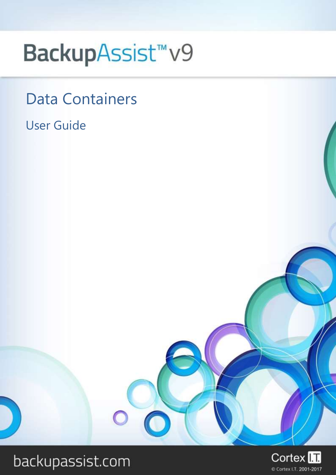# BackupAssist<sup>™</sup>v9

## Data Containers

## User Guide



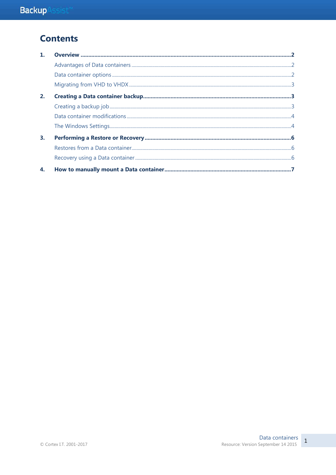## **Contents**

| 2. |  |
|----|--|
|    |  |
|    |  |
|    |  |
| 3. |  |
|    |  |
|    |  |
| 4. |  |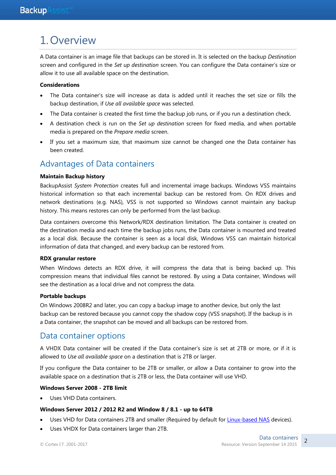## 1.Overview

A Data container is an image file that backups can be stored in. It is selected on the backup *Destination* screen and configured in the *Set up destination* screen. You can configure the Data container's size or allow it to use all available space on the destination.

#### **Considerations**

- The Data container's size will increase as data is added until it reaches the set size or fills the backup destination, if *Use all available space* was selected.
- The Data container is created the first time the backup job runs, or if you run a destination check.
- A destination check is run on the *Set up destination* screen for fixed media, and when portable media is prepared on the *Prepare media* screen.
- If you set a maximum size, that maximum size cannot be changed one the Data container has been created.

#### Advantages of Data containers

#### **Maintain Backup history**

BackupAssist *System Protection* creates full and incremental image backups. Windows VSS maintains historical information so that each incremental backup can be restored from. On RDX drives and network destinations (e.g. NAS), VSS is not supported so Windows cannot maintain any backup history. This means restores can only be performed from the last backup.

Data containers overcome this Network/RDX destination limitation. The Data container is created on the destination media and each time the backup jobs runs, the Data container is mounted and treated as a local disk. Because the container is seen as a local disk, Windows VSS can maintain historical information of data that changed, and every backup can be restored from.

#### **RDX granular restore**

When Windows detects an RDX drive, it will compress the data that is being backed up. This compression means that individual files cannot be restored. By using a Data container, Windows will see the destination as a local drive and not compress the data.

#### **Portable backups**

On Windows 2008R2 and later, you can copy a backup image to another device, but only the last backup can be restored because you cannot copy the shadow copy (VSS snapshot). If the backup is in a Data container, the snapshot can be moved and all backups can be restored from.

#### Data container options

A VHDX Data container will be created if the Data container's size is set at 2TB or more, or if it is allowed to *Use all available space* on a destination that is 2TB or larger.

If you configure the Data container to be 2TB or smaller, or allow a Data container to grow into the available space on a destination that is 2TB or less, the Data container will use VHD.

#### **Windows Server 2008 - 2TB limit**

Uses VHD Data containers.

#### **Windows Server 2012 / 2012 R2 and Window 8 / 8.1 - up to 64TB**

- Uses VHD for Data containers 2TB and smaller (Required by default for [Linux-based NAS](http://www.backupassist.com/education/resources/sparse_file_system_compatability.html) devices).
- Uses VHDX for Data containers larger than 2TB.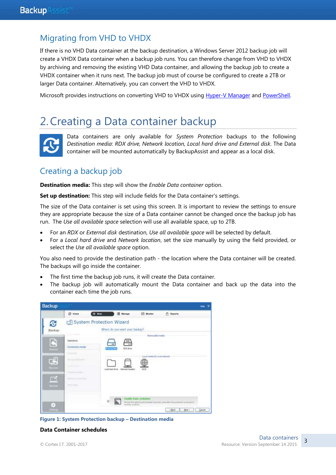#### Migrating from VHD to VHDX

If there is no VHD Data container at the backup destination, a Windows Server 2012 backup job will create a VHDX Data container when a backup job runs. You can therefore change from VHD to VHDX by archiving and removing the existing VHD Data container, and allowing the backup job to create a VHDX container when it runs next. The backup job must of course be configured to create a 2TB or larger Data container. Alternatively, you can convert the VHD to VHDX.

Microsoft provides instructions on converting VHD to VHDX using [Hyper-V Manager](http://blogs.msdn.com/b/virtual_pc_guy/archive/2012/10/02/converting-a-vhd-to-a-vhdx.aspx) and [PowerShell.](http://blogs.msdn.com/b/virtual_pc_guy/archive/2012/10/03/using-powershell-to-convert-a-vhd-to-a-vhdx.aspx)

## 2.Creating a Data container backup



Data containers are only available for *System Protection* backups to the following *Destination media*: *RDX drive, Network location, Local hard drive and External disk*. The Data container will be mounted automatically by BackupAssist and appear as a local disk.

#### Creating a backup job

**Destination media:** This step will show the *Enable Data container* option.

**Set up destination:** This step will include fields for the Data container's settings.

The size of the Data container is set using this screen. It is important to review the settings to ensure they are appropriate because the size of a Data container cannot be changed once the backup job has run. The *Use all available space* selection will use all available space, up to 2TB.

- For an *RDX* or *External disk* destination, *Use all available space* will be selected by default.
- For a *Local hard drive* and *Network location*, set the size manually by using the field provided, or select the *Use all available space* option.

You also need to provide the destination path - the location where the Data container will be created. The backups will go inside the container.

- The first time the backup job runs, it will create the Data container.
- The backup job will automatically mount the Data container and back up the data into the container each time the job runs.



**Figure 1: System Protection backup – Destination media**

**Data Container schedules**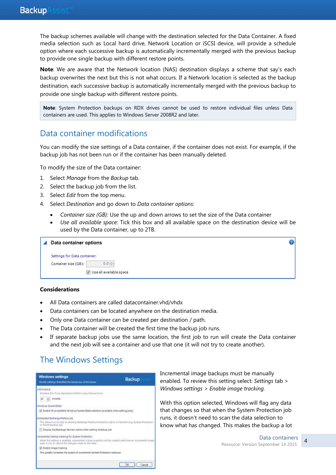The backup schemes available will change with the destination selected for the Data Container. A fixed media selection such as Local hard drive, Network Location or iSCSI device, will provide a schedule option where each successive backup is automatically incrementally merged with the previous backup to provide one single backup with different restore points.

**Note**: We are aware that the Network location (NAS) destination displays a scheme that say's each backup overwrites the next but this is not what occurs. If a Network location is selected as the backup destination, each successive backup is automatically incrementally merged with the previous backup to provide one single backup with different restore points.

**Note**: System Protection backups on RDX drives cannot be used to restore individual files unless Data containers are used. This applies to Windows Server 2008R2 and later.

#### Data container modifications

You can modify the size settings of a Data container, if the container does not exist. For example, if the backup job has not been run or if the container has been manually deleted.

To modify the size of the Data container:

- 1. Select *Manage* from the *Backup* tab.
- 2. Select the backup job from the list.
- 3. Select *Edit* from the top menu.
- 4. Select *Destination* and go down to *Data container options:*
	- *Container size (GB):* Use the up and down arrows to set the size of the Data container
	- *Use all available space*: Tick this box and all available space on the destination device will be used by the Data container, up to 2TB.

| Data container options             |  |
|------------------------------------|--|
| Settings for Data container:       |  |
| $0.0 \div$<br>Container size (GB): |  |
| Use all available space            |  |

#### **Considerations**

- All Data containers are called datacontainer.vhd/vhdx
- Data containers can be located anywhere on the destination media.
- Only one Data container can be created per destination / path.
- The Data container will be created the first time the backup job runs.
- If separate backup jobs use the same location, the first job to run will create the Data container and the next job will see a container and use that one (it will not try to create another).

### The Windows Settings

| Mudity settings trataffect the behaviour of Windows.                                                                                                                                                                      | Backup |
|---------------------------------------------------------------------------------------------------------------------------------------------------------------------------------------------------------------------------|--------|
| V55 timedul<br>construction and provide in the state<br>350 totals this if you experiment shallow copy firmped arrists.                                                                                                   |        |
| minutes.<br>tö                                                                                                                                                                                                            |        |
| Windows SystemState                                                                                                                                                                                                       |        |
| If Enable V6 compatible Wredows SystemState selection Cavailable when editing jobs)<br>아버지가 2007년 전에 아니오 연화로 18개 이용제 전쟁                                                                                                   |        |
| Ersbedded Exchange Malibox (ob<br>This allaws you to add an existing Exchange Halbox Protestion job to a File Archiving. System Protestion<br>or File Protection tell.                                                    |        |
| [1] Display the Bichange Servers option when editing a badoup tob                                                                                                                                                         |        |
| Incremental backup tracking for system Protection.<br>When this setting is enabled, a persistent virtual snapshot will be created each time an incremental image<br>track is run, to record the changes made to the data. |        |
| III Ensble mape tracking                                                                                                                                                                                                  |        |
| This greatly increases the speed of incremental System Protection beckups                                                                                                                                                 |        |

Incremental image backups must be manually enabled. To review this setting select: *Settings* tab > *Windows settings > Enable image tracking.*

With this option selected, Windows will flag any data that changes so that when the System Protection job runs, it doesn't need to scan the data selection to know what has changed. This makes the backup a lot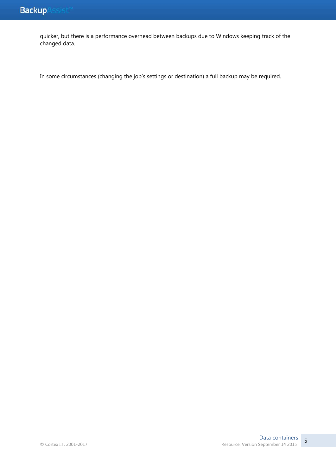quicker, but there is a performance overhead between backups due to Windows keeping track of the changed data.

In some circumstances (changing the job's settings or destination) a full backup may be required.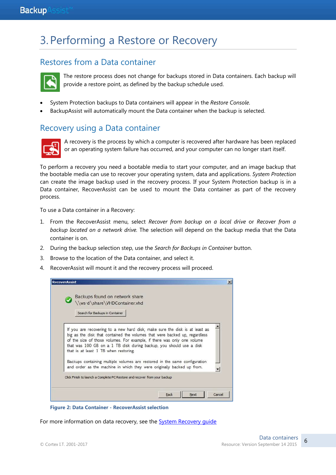## 3.Performing a Restore or Recovery

#### Restores from a Data container



The restore process does not change for backups stored in Data containers. Each backup will provide a restore point, as defined by the backup schedule used.

- System Protection backups to Data containers will appear in the *Restore Console*.
- BackupAssist will automatically mount the Data container when the backup is selected.

#### Recovery using a Data container



A recovery is the process by which a computer is recovered after hardware has been replaced or an operating system failure has occurred, and your computer can no longer start itself.

To perform a recovery you need a bootable media to start your computer, and an image backup that the bootable media can use to recover your operating system, data and applications. *System Protection* can create the image backup used in the recovery process. If your System Protection backup is in a Data container, RecoverAssist can be used to mount the Data container as part of the recovery process.

To use a Data container in a Recovery:

- 1. From the RecoverAssist menu, select *Recover from backup on a local drive* or *Recover from a backup located on a network drive.* The selection will depend on the backup media that the Data container is on.
- 2. During the backup selection step, use the *Search for Backups in Container* button.
- 3. Browse to the location of the Data container, and select it.
- 4. RecoverAssist will mount it and the recovery process will proceed.

| <b>RecoverAssist</b> |                                                                                                                                                |  |
|----------------------|------------------------------------------------------------------------------------------------------------------------------------------------|--|
|                      | Backups found on network share                                                                                                                 |  |
|                      | \\ws-d\share\VHDContainer.vhd                                                                                                                  |  |
|                      | Search for Backups in Container                                                                                                                |  |
|                      | If you are recovering to a new hard disk, make sure the disk is at least as                                                                    |  |
|                      | big as the disk that contained the volumes that were backed up, regardless                                                                     |  |
|                      | of the size of those volumes. For example, if there was only one volume<br>that was 100 GB on a 1 TB disk during backup, you should use a disk |  |
|                      | that is at least 1 TB when restoring.                                                                                                          |  |
|                      | Backups containing multiple volumes are restored in the same configuration                                                                     |  |
|                      | and order as the machine in which they were originally backed up from.                                                                         |  |
|                      | Click Finish to launch a Complete PC Restore and recover from your backup                                                                      |  |
|                      |                                                                                                                                                |  |
|                      | Cancel<br><b>Back</b><br>Next                                                                                                                  |  |

**Figure 2: Data Container - RecoverAssist selection**

For more information on data recovery, see the **System Recovery quide**